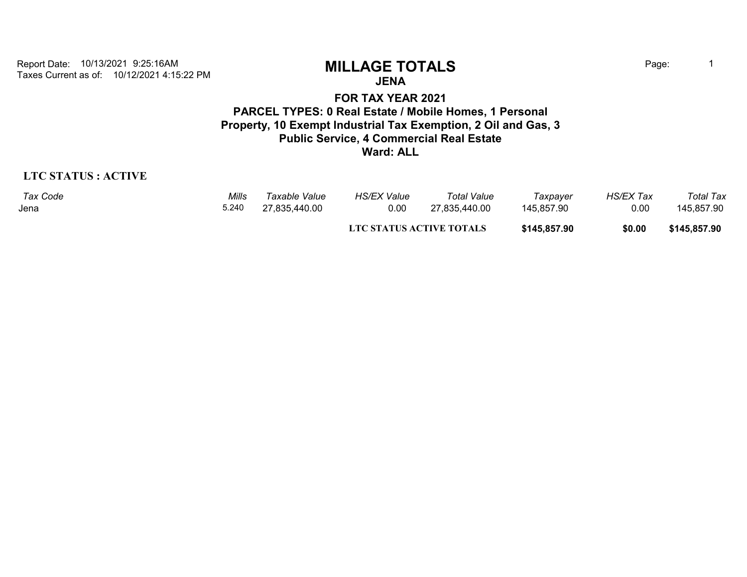Taxes Current as of: 10/12/2021 4:15:22 PM Report Date: 10/13/2021 9:25:16AM **MILLAGE TOTALS** Page: <sup>1</sup>

**JENA**

**FOR TAX YEAR 2021 PARCEL TYPES: 0 Real Estate / Mobile Homes, 1 Personal Property, 10 Exempt Industrial Tax Exemption, 2 Oil and Gas, 3 Public Service, 4 Commercial Real Estate Ward: ALL**

## **LTC STATUS : ACTIVE**

| Tax Code | Mills | Taxable Value | HS/EX Value                     | Total Value   | Taxpayer     | <b>HS/EX Tax</b> | Total Tax    |
|----------|-------|---------------|---------------------------------|---------------|--------------|------------------|--------------|
| Jena     | 5.240 | 27,835,440.00 | 0.00                            | 27.835.440.00 | 145.857.90   | 0.00             | 145.857.90   |
|          |       |               | <b>LTC STATUS ACTIVE TOTALS</b> |               | \$145,857.90 | \$0.00           | \$145,857.90 |